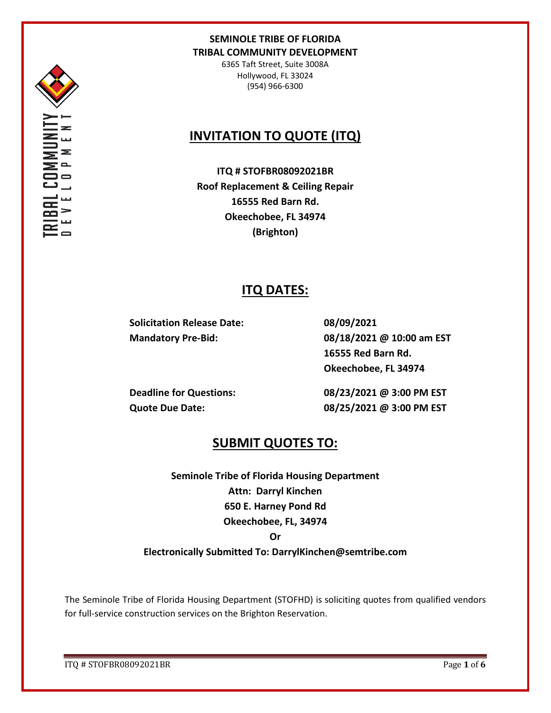

6365 Taft Street, Suite 3008A Hollywood, FL 33024 (954) 966-6300

# **INVITATION TO QUOTE (ITQ)**

**ITQ # STOFBR08092021BR Roof Replacement & Ceiling Repair 16555 Red Barn Rd. Okeechobee, FL 34974 (Brighton)**

# **ITQ DATES:**

**Solicitation Release Date: 08/09/2021**

**Mandatory Pre-Bid: 08/18/2021 @ 10:00 am EST 16555 Red Barn Rd. Okeechobee, FL 34974**

**Deadline for Questions: 08/23/2021 @ 3:00 PM EST Quote Due Date: 08/25/2021 @ 3:00 PM EST**

## **SUBMIT QUOTES TO:**

**Seminole Tribe of Florida Housing Department Attn: Darryl Kinchen 650 E. Harney Pond Rd Okeechobee, FL, 34974 Or** 

## **Electronically Submitted To: DarrylKinchen@semtribe.com**

The Seminole Tribe of Florida Housing Department (STOFHD) is soliciting quotes from qualified vendors for full-service construction services on the Brighton Reservation.

ITQ # STOFBR08092021BR Page **1** of **6**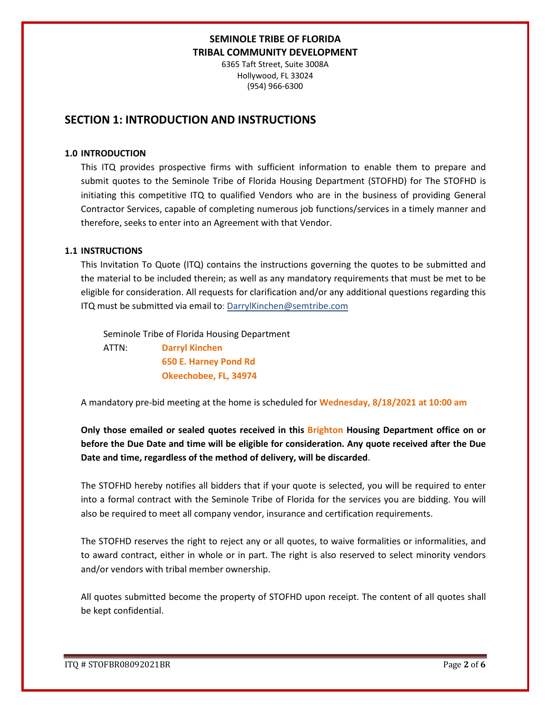6365 Taft Street, Suite 3008A Hollywood, FL 33024 (954) 966-6300

## **SECTION 1: INTRODUCTION AND INSTRUCTIONS**

#### **1.0 INTRODUCTION**

This ITQ provides prospective firms with sufficient information to enable them to prepare and submit quotes to the Seminole Tribe of Florida Housing Department (STOFHD) for The STOFHD is initiating this competitive ITQ to qualified Vendors who are in the business of providing General Contractor Services, capable of completing numerous job functions/services in a timely manner and therefore, seeks to enter into an Agreement with that Vendor.

#### **1.1 INSTRUCTIONS**

This Invitation To Quote (ITQ) contains the instructions governing the quotes to be submitted and the material to be included therein; as well as any mandatory requirements that must be met to be eligible for consideration. All requests for clarification and/or any additional questions regarding this ITQ must be submitted via email to: DarrylKinchen@semtribe.com

 Seminole Tribe of Florida Housing Department ATTN: **Darryl Kinchen**

 **650 E. Harney Pond Rd Okeechobee, FL, 34974**

A mandatory pre-bid meeting at the home is scheduled for **Wednesday, 8/18/2021 at 10:00 am**

**Only those emailed or sealed quotes received in this Brighton Housing Department office on or before the Due Date and time will be eligible for consideration. Any quote received after the Due Date and time, regardless of the method of delivery, will be discarded**.

The STOFHD hereby notifies all bidders that if your quote is selected, you will be required to enter into a formal contract with the Seminole Tribe of Florida for the services you are bidding. You will also be required to meet all company vendor, insurance and certification requirements.

The STOFHD reserves the right to reject any or all quotes, to waive formalities or informalities, and to award contract, either in whole or in part. The right is also reserved to select minority vendors and/or vendors with tribal member ownership.

All quotes submitted become the property of STOFHD upon receipt. The content of all quotes shall be kept confidential.

ITQ # STOFBR08092021BR Page **2** of **6**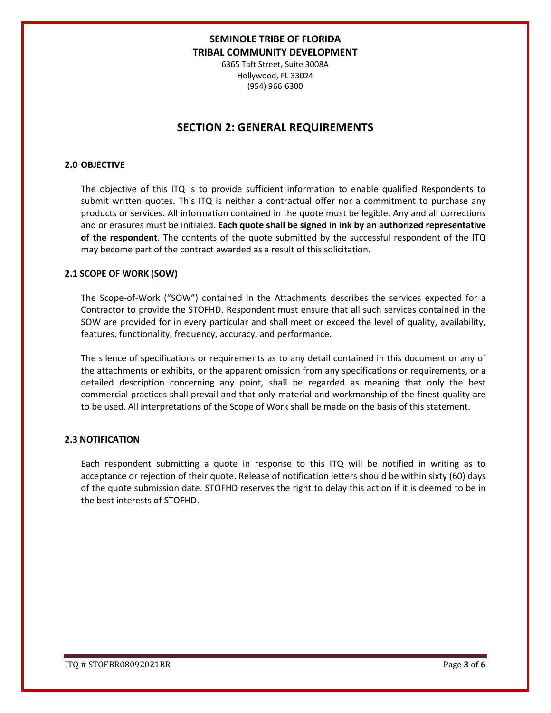6365 Taft Street, Suite 3008A Hollywood, FL 33024 (954) 966-6300

## **SECTION 2: GENERAL REQUIREMENTS**

#### **2.0 OBJECTIVE**

The objective of this ITQ is to provide sufficient information to enable qualified Respondents to submit written quotes. This ITQ is neither a contractual offer nor a commitment to purchase any products or services. All information contained in the quote must be legible. Any and all corrections and or erasures must be initialed. **Each quote shall be signed in ink by an authorized representative of the respondent**. The contents of the quote submitted by the successful respondent of the ITQ may become part of the contract awarded as a result of this solicitation.

#### **2.1 SCOPE OF WORK (SOW)**

The Scope-of-Work ("SOW") contained in the Attachments describes the services expected for a Contractor to provide the STOFHD. Respondent must ensure that all such services contained in the SOW are provided for in every particular and shall meet or exceed the level of quality, availability, features, functionality, frequency, accuracy, and performance.

The silence of specifications or requirements as to any detail contained in this document or any of the attachments or exhibits, or the apparent omission from any specifications or requirements, or a detailed description concerning any point, shall be regarded as meaning that only the best commercial practices shall prevail and that only material and workmanship of the finest quality are to be used. All interpretations of the Scope of Work shall be made on the basis of this statement.

#### **2.3 NOTIFICATION**

Each respondent submitting a quote in response to this ITQ will be notified in writing as to acceptance or rejection of their quote. Release of notification letters should be within sixty (60) days of the quote submission date. STOFHD reserves the right to delay this action if it is deemed to be in the best interests of STOFHD.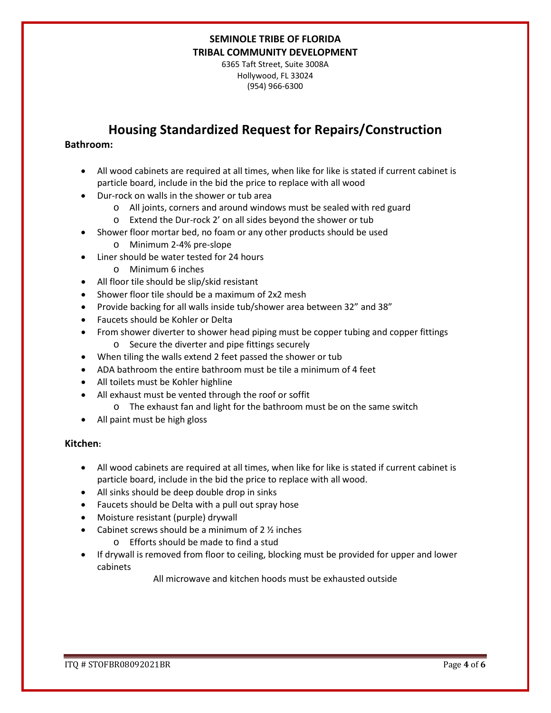6365 Taft Street, Suite 3008A Hollywood, FL 33024 (954) 966-6300

# **Housing Standardized Request for Repairs/Construction**

### **Bathroom:**

- All wood cabinets are required at all times, when like for like is stated if current cabinet is particle board, include in the bid the price to replace with all wood
- Dur-rock on walls in the shower or tub area
	- o All joints, corners and around windows must be sealed with red guard
	- o Extend the Dur-rock 2' on all sides beyond the shower or tub
- Shower floor mortar bed, no foam or any other products should be used
	- o Minimum 2-4% pre-slope
- Liner should be water tested for 24 hours
	- o Minimum 6 inches
- All floor tile should be slip/skid resistant
- Shower floor tile should be a maximum of 2x2 mesh
- Provide backing for all walls inside tub/shower area between 32" and 38"
- Faucets should be Kohler or Delta
- From shower diverter to shower head piping must be copper tubing and copper fittings o Secure the diverter and pipe fittings securely
- When tiling the walls extend 2 feet passed the shower or tub
- ADA bathroom the entire bathroom must be tile a minimum of 4 feet
- All toilets must be Kohler highline
- All exhaust must be vented through the roof or soffit
	- o The exhaust fan and light for the bathroom must be on the same switch
- All paint must be high gloss

### **Kitchen:**

- All wood cabinets are required at all times, when like for like is stated if current cabinet is particle board, include in the bid the price to replace with all wood.
- All sinks should be deep double drop in sinks
- Faucets should be Delta with a pull out spray hose
- Moisture resistant (purple) drywall
- Cabinet screws should be a minimum of  $2 \frac{1}{2}$  inches
	- o Efforts should be made to find a stud
- If drywall is removed from floor to ceiling, blocking must be provided for upper and lower cabinets

All microwave and kitchen hoods must be exhausted outside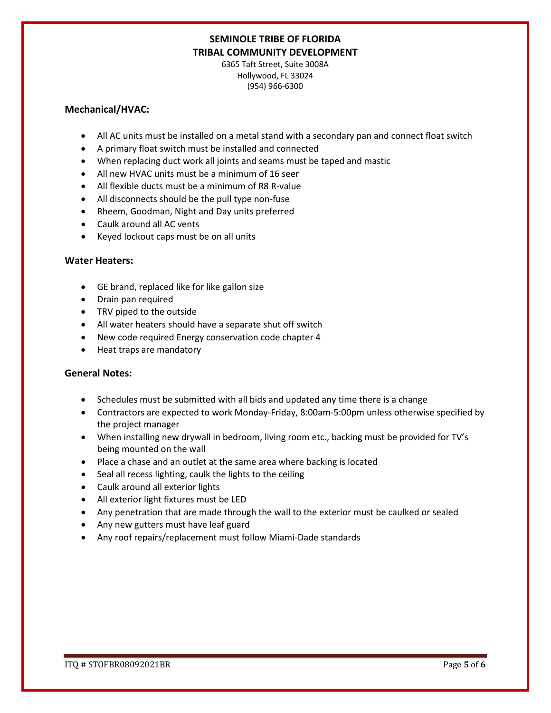6365 Taft Street, Suite 3008A Hollywood, FL 33024 (954) 966-6300

#### **Mechanical/HVAC:**

- All AC units must be installed on a metal stand with a secondary pan and connect float switch
- A primary float switch must be installed and connected
- When replacing duct work all joints and seams must be taped and mastic
- All new HVAC units must be a minimum of 16 seer
- All flexible ducts must be a minimum of R8 R-value
- All disconnects should be the pull type non-fuse
- Rheem, Goodman, Night and Day units preferred
- Caulk around all AC vents
- Keyed lockout caps must be on all units

### **Water Heaters:**

- GE brand, replaced like for like gallon size
- Drain pan required
- TRV piped to the outside
- All water heaters should have a separate shut off switch
- New code required Energy conservation code chapter 4
- Heat traps are mandatory

### **General Notes:**

- Schedules must be submitted with all bids and updated any time there is a change
- Contractors are expected to work Monday-Friday, 8:00am-5:00pm unless otherwise specified by the project manager
- When installing new drywall in bedroom, living room etc., backing must be provided for TV's being mounted on the wall
- Place a chase and an outlet at the same area where backing is located
- Seal all recess lighting, caulk the lights to the ceiling
- Caulk around all exterior lights
- All exterior light fixtures must be LED
- Any penetration that are made through the wall to the exterior must be caulked or sealed
- Any new gutters must have leaf guard
- Any roof repairs/replacement must follow Miami-Dade standards